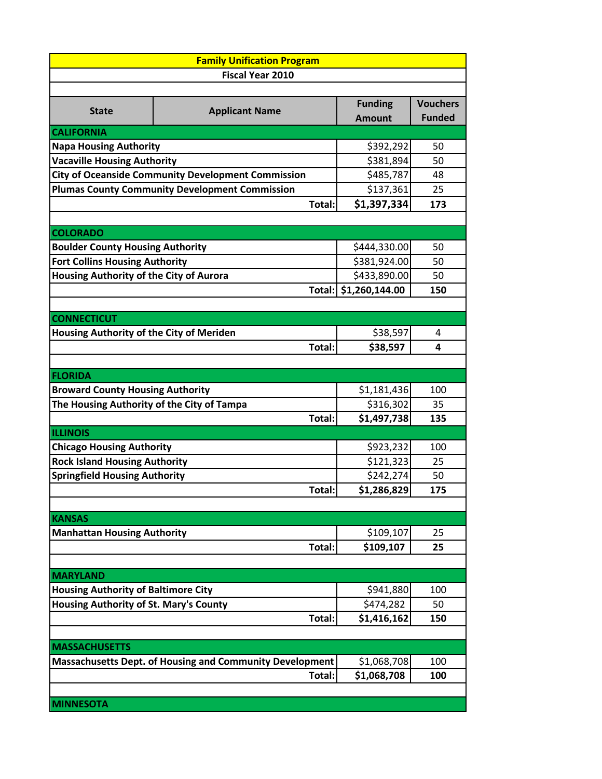| <b>Family Unification Program</b>                         |                         |                                 |                 |  |  |
|-----------------------------------------------------------|-------------------------|---------------------------------|-----------------|--|--|
|                                                           | <b>Fiscal Year 2010</b> |                                 |                 |  |  |
|                                                           |                         |                                 | <b>Vouchers</b> |  |  |
| <b>State</b>                                              | <b>Applicant Name</b>   | <b>Funding</b><br><b>Amount</b> | <b>Funded</b>   |  |  |
| <b>CALIFORNIA</b>                                         |                         |                                 |                 |  |  |
| <b>Napa Housing Authority</b>                             | \$392,292               | 50                              |                 |  |  |
| <b>Vacaville Housing Authority</b>                        | \$381,894               | 50                              |                 |  |  |
| <b>City of Oceanside Community Development Commission</b> | \$485,787               | 48                              |                 |  |  |
| <b>Plumas County Community Development Commission</b>     | \$137,361               | 25                              |                 |  |  |
| Total:                                                    |                         | \$1,397,334                     | 173             |  |  |
|                                                           |                         |                                 |                 |  |  |
| <b>COLORADO</b>                                           |                         |                                 |                 |  |  |
| <b>Boulder County Housing Authority</b>                   | \$444,330.00            | 50                              |                 |  |  |
| <b>Fort Collins Housing Authority</b>                     | \$381,924.00            | 50                              |                 |  |  |
| <b>Housing Authority of the City of Aurora</b>            | \$433,890.00            | 50                              |                 |  |  |
| Total:                                                    |                         | \$1,260,144.00                  | 150             |  |  |
|                                                           |                         |                                 |                 |  |  |
| <b>CONNECTICUT</b>                                        |                         |                                 |                 |  |  |
| Housing Authority of the City of Meriden                  |                         | \$38,597                        | 4               |  |  |
|                                                           | Total:                  | \$38,597                        | 4               |  |  |
|                                                           |                         |                                 |                 |  |  |
| <b>FLORIDA</b>                                            |                         |                                 |                 |  |  |
| <b>Broward County Housing Authority</b>                   | \$1,181,436             | 100                             |                 |  |  |
| The Housing Authority of the City of Tampa                | \$316,302               | 35                              |                 |  |  |
| <b>ILLINOIS</b>                                           | Total:                  | \$1,497,738                     | 135             |  |  |
| <b>Chicago Housing Authority</b>                          | \$923,232               | 100                             |                 |  |  |
| <b>Rock Island Housing Authority</b>                      | \$121,323               | 25                              |                 |  |  |
| <b>Springfield Housing Authority</b>                      | \$242,274               | 50                              |                 |  |  |
|                                                           | Total:                  | \$1.286.829                     | 175             |  |  |
|                                                           |                         |                                 |                 |  |  |
| <b>KANSAS</b>                                             |                         |                                 |                 |  |  |
| <b>Manhattan Housing Authority</b>                        | \$109,107               | 25                              |                 |  |  |
|                                                           | Total:                  | \$109,107                       | 25              |  |  |
|                                                           |                         |                                 |                 |  |  |
| <b>MARYLAND</b>                                           |                         |                                 |                 |  |  |
| <b>Housing Authority of Baltimore City</b>                | \$941,880               | 100                             |                 |  |  |
| <b>Housing Authority of St. Mary's County</b>             | \$474,282               | 50                              |                 |  |  |
|                                                           | \$1,416,162<br>Total:   | 150                             |                 |  |  |
|                                                           |                         |                                 |                 |  |  |
| <b>MASSACHUSETTS</b>                                      |                         |                                 |                 |  |  |
| Massachusetts Dept. of Housing and Community Development  |                         | \$1,068,708                     | 100             |  |  |
| Total:                                                    |                         | \$1,068,708                     | 100             |  |  |
|                                                           |                         |                                 |                 |  |  |
| <b>MINNESOTA</b>                                          |                         |                                 |                 |  |  |